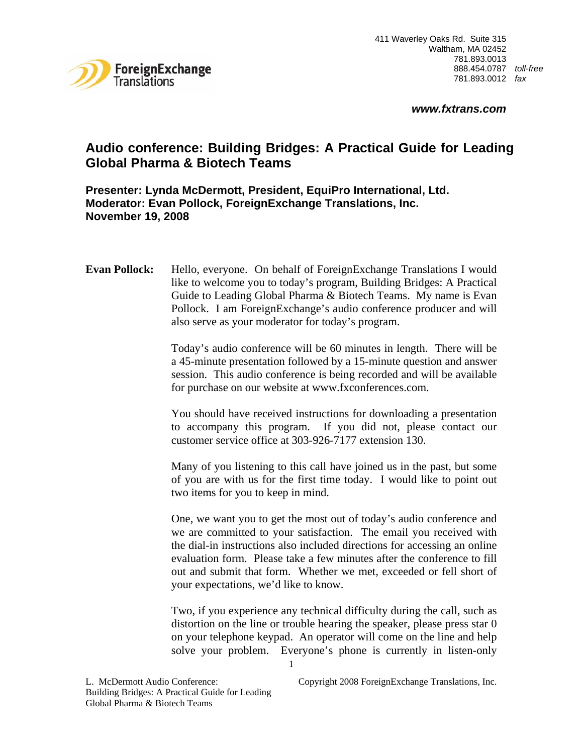

# **Audio conference: Building Bridges: A Practical Guide for Leading Global Pharma & Biotech Teams**

**Presenter: Lynda McDermott, President, EquiPro International, Ltd. Moderator: Evan Pollock, ForeignExchange Translations, Inc. November 19, 2008** 

**Evan Pollock:** Hello, everyone. On behalf of ForeignExchange Translations I would like to welcome you to today's program, Building Bridges: A Practical Guide to Leading Global Pharma & Biotech Teams. My name is Evan Pollock. I am ForeignExchange's audio conference producer and will also serve as your moderator for today's program.

> Today's audio conference will be 60 minutes in length. There will be a 45-minute presentation followed by a 15-minute question and answer session. This audio conference is being recorded and will be available for purchase on our website at www.fxconferences.com.

> You should have received instructions for downloading a presentation to accompany this program. If you did not, please contact our customer service office at 303-926-7177 extension 130.

> Many of you listening to this call have joined us in the past, but some of you are with us for the first time today. I would like to point out two items for you to keep in mind.

> One, we want you to get the most out of today's audio conference and we are committed to your satisfaction. The email you received with the dial-in instructions also included directions for accessing an online evaluation form. Please take a few minutes after the conference to fill out and submit that form. Whether we met, exceeded or fell short of your expectations, we'd like to know.

> Two, if you experience any technical difficulty during the call, such as distortion on the line or trouble hearing the speaker, please press star 0 on your telephone keypad. An operator will come on the line and help solve your problem. Everyone's phone is currently in listen-only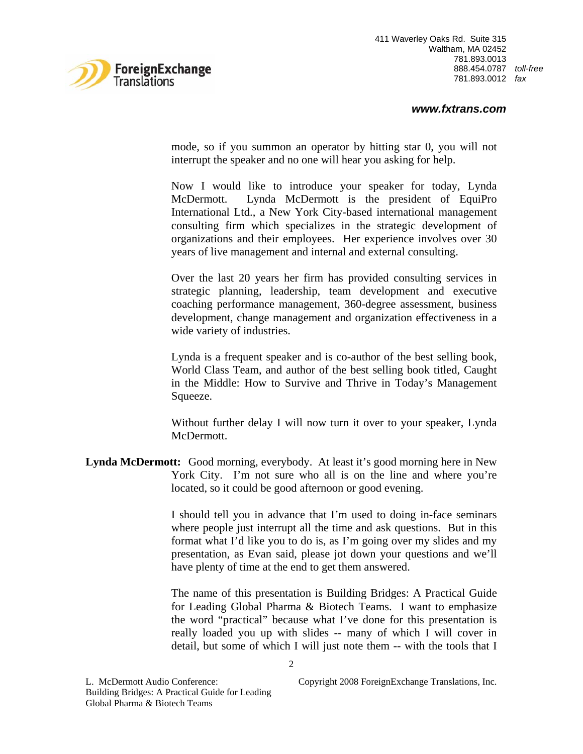

# *www.fxtrans.com*

mode, so if you summon an operator by hitting star 0, you will not interrupt the speaker and no one will hear you asking for help.

Now I would like to introduce your speaker for today, Lynda McDermott. Lynda McDermott is the president of EquiPro International Ltd., a New York City-based international management consulting firm which specializes in the strategic development of organizations and their employees. Her experience involves over 30 years of live management and internal and external consulting.

Over the last 20 years her firm has provided consulting services in strategic planning, leadership, team development and executive coaching performance management, 360-degree assessment, business development, change management and organization effectiveness in a wide variety of industries.

Lynda is a frequent speaker and is co-author of the best selling book, World Class Team, and author of the best selling book titled, Caught in the Middle: How to Survive and Thrive in Today's Management Squeeze.

Without further delay I will now turn it over to your speaker, Lynda McDermott.

**Lynda McDermott:** Good morning, everybody. At least it's good morning here in New York City. I'm not sure who all is on the line and where you're located, so it could be good afternoon or good evening.

> I should tell you in advance that I'm used to doing in-face seminars where people just interrupt all the time and ask questions. But in this format what I'd like you to do is, as I'm going over my slides and my presentation, as Evan said, please jot down your questions and we'll have plenty of time at the end to get them answered.

> The name of this presentation is Building Bridges: A Practical Guide for Leading Global Pharma & Biotech Teams. I want to emphasize the word "practical" because what I've done for this presentation is really loaded you up with slides -- many of which I will cover in detail, but some of which I will just note them -- with the tools that I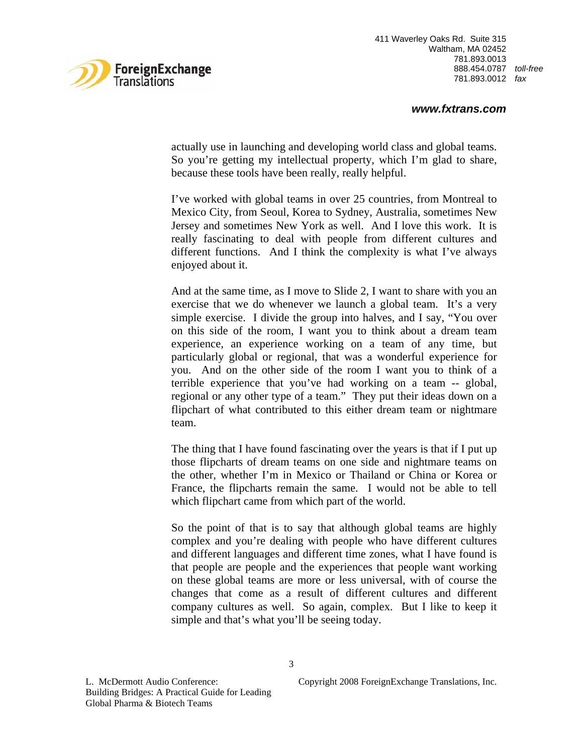

actually use in launching and developing world class and global teams. So you're getting my intellectual property, which I'm glad to share, because these tools have been really, really helpful.

I've worked with global teams in over 25 countries, from Montreal to Mexico City, from Seoul, Korea to Sydney, Australia, sometimes New Jersey and sometimes New York as well. And I love this work. It is really fascinating to deal with people from different cultures and different functions. And I think the complexity is what I've always enjoyed about it.

And at the same time, as I move to Slide 2, I want to share with you an exercise that we do whenever we launch a global team. It's a very simple exercise. I divide the group into halves, and I say, "You over on this side of the room, I want you to think about a dream team experience, an experience working on a team of any time, but particularly global or regional, that was a wonderful experience for you. And on the other side of the room I want you to think of a terrible experience that you've had working on a team -- global, regional or any other type of a team." They put their ideas down on a flipchart of what contributed to this either dream team or nightmare team.

The thing that I have found fascinating over the years is that if I put up those flipcharts of dream teams on one side and nightmare teams on the other, whether I'm in Mexico or Thailand or China or Korea or France, the flipcharts remain the same. I would not be able to tell which flipchart came from which part of the world.

So the point of that is to say that although global teams are highly complex and you're dealing with people who have different cultures and different languages and different time zones, what I have found is that people are people and the experiences that people want working on these global teams are more or less universal, with of course the changes that come as a result of different cultures and different company cultures as well. So again, complex. But I like to keep it simple and that's what you'll be seeing today.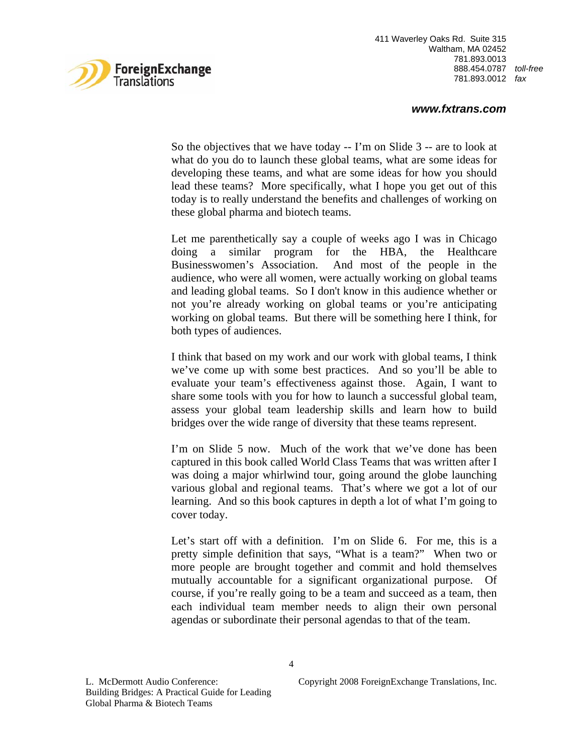

# *www.fxtrans.com*

So the objectives that we have today -- I'm on Slide 3 -- are to look at what do you do to launch these global teams, what are some ideas for developing these teams, and what are some ideas for how you should lead these teams? More specifically, what I hope you get out of this today is to really understand the benefits and challenges of working on these global pharma and biotech teams.

Let me parenthetically say a couple of weeks ago I was in Chicago doing a similar program for the HBA, the Healthcare Businesswomen's Association. And most of the people in the audience, who were all women, were actually working on global teams and leading global teams. So I don't know in this audience whether or not you're already working on global teams or you're anticipating working on global teams. But there will be something here I think, for both types of audiences.

I think that based on my work and our work with global teams, I think we've come up with some best practices. And so you'll be able to evaluate your team's effectiveness against those. Again, I want to share some tools with you for how to launch a successful global team, assess your global team leadership skills and learn how to build bridges over the wide range of diversity that these teams represent.

I'm on Slide 5 now. Much of the work that we've done has been captured in this book called World Class Teams that was written after I was doing a major whirlwind tour, going around the globe launching various global and regional teams. That's where we got a lot of our learning. And so this book captures in depth a lot of what I'm going to cover today.

Let's start off with a definition. I'm on Slide 6. For me, this is a pretty simple definition that says, "What is a team?" When two or more people are brought together and commit and hold themselves mutually accountable for a significant organizational purpose. Of course, if you're really going to be a team and succeed as a team, then each individual team member needs to align their own personal agendas or subordinate their personal agendas to that of the team.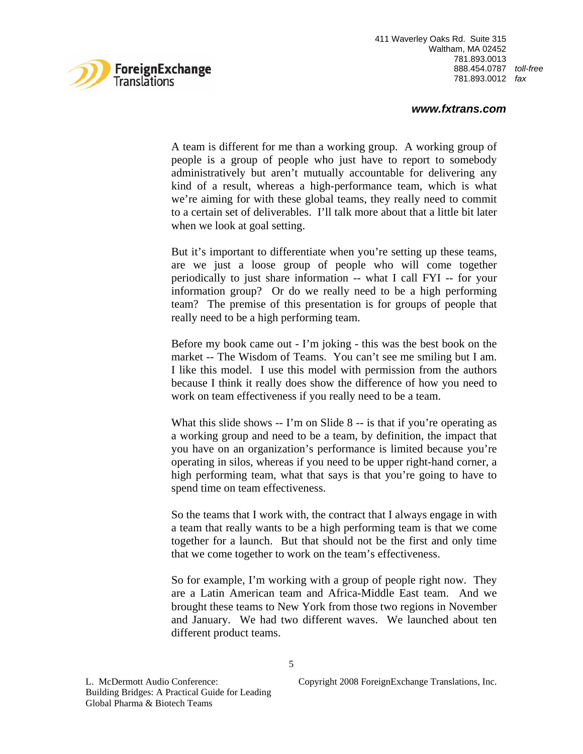

## *www.fxtrans.com*

A team is different for me than a working group. A working group of people is a group of people who just have to report to somebody administratively but aren't mutually accountable for delivering any kind of a result, whereas a high-performance team, which is what we're aiming for with these global teams, they really need to commit to a certain set of deliverables. I'll talk more about that a little bit later when we look at goal setting.

But it's important to differentiate when you're setting up these teams, are we just a loose group of people who will come together periodically to just share information -- what I call FYI -- for your information group? Or do we really need to be a high performing team? The premise of this presentation is for groups of people that really need to be a high performing team.

Before my book came out - I'm joking - this was the best book on the market -- The Wisdom of Teams. You can't see me smiling but I am. I like this model. I use this model with permission from the authors because I think it really does show the difference of how you need to work on team effectiveness if you really need to be a team.

What this slide shows -- I'm on Slide 8 -- is that if you're operating as a working group and need to be a team, by definition, the impact that you have on an organization's performance is limited because you're operating in silos, whereas if you need to be upper right-hand corner, a high performing team, what that says is that you're going to have to spend time on team effectiveness.

So the teams that I work with, the contract that I always engage in with a team that really wants to be a high performing team is that we come together for a launch. But that should not be the first and only time that we come together to work on the team's effectiveness.

So for example, I'm working with a group of people right now. They are a Latin American team and Africa-Middle East team. And we brought these teams to New York from those two regions in November and January. We had two different waves. We launched about ten different product teams.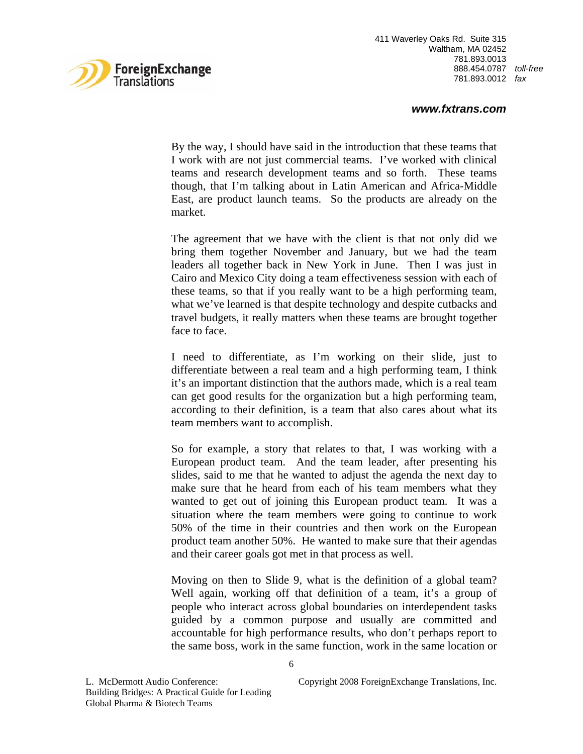

# *www.fxtrans.com*

By the way, I should have said in the introduction that these teams that I work with are not just commercial teams. I've worked with clinical teams and research development teams and so forth. These teams though, that I'm talking about in Latin American and Africa-Middle East, are product launch teams. So the products are already on the market.

The agreement that we have with the client is that not only did we bring them together November and January, but we had the team leaders all together back in New York in June. Then I was just in Cairo and Mexico City doing a team effectiveness session with each of these teams, so that if you really want to be a high performing team, what we've learned is that despite technology and despite cutbacks and travel budgets, it really matters when these teams are brought together face to face.

I need to differentiate, as I'm working on their slide, just to differentiate between a real team and a high performing team, I think it's an important distinction that the authors made, which is a real team can get good results for the organization but a high performing team, according to their definition, is a team that also cares about what its team members want to accomplish.

So for example, a story that relates to that, I was working with a European product team. And the team leader, after presenting his slides, said to me that he wanted to adjust the agenda the next day to make sure that he heard from each of his team members what they wanted to get out of joining this European product team. It was a situation where the team members were going to continue to work 50% of the time in their countries and then work on the European product team another 50%. He wanted to make sure that their agendas and their career goals got met in that process as well.

Moving on then to Slide 9, what is the definition of a global team? Well again, working off that definition of a team, it's a group of people who interact across global boundaries on interdependent tasks guided by a common purpose and usually are committed and accountable for high performance results, who don't perhaps report to the same boss, work in the same function, work in the same location or

L. McDermott Audio Conference: Copyright 2008 ForeignExchange Translations, Inc.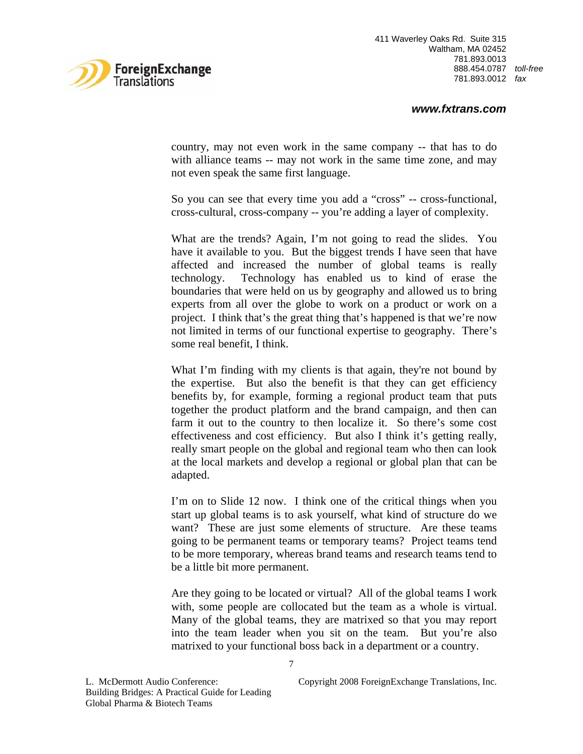

country, may not even work in the same company -- that has to do with alliance teams -- may not work in the same time zone, and may not even speak the same first language.

So you can see that every time you add a "cross" -- cross-functional, cross-cultural, cross-company -- you're adding a layer of complexity.

What are the trends? Again, I'm not going to read the slides. You have it available to you. But the biggest trends I have seen that have affected and increased the number of global teams is really technology. Technology has enabled us to kind of erase the boundaries that were held on us by geography and allowed us to bring experts from all over the globe to work on a product or work on a project. I think that's the great thing that's happened is that we're now not limited in terms of our functional expertise to geography. There's some real benefit, I think.

What I'm finding with my clients is that again, they're not bound by the expertise. But also the benefit is that they can get efficiency benefits by, for example, forming a regional product team that puts together the product platform and the brand campaign, and then can farm it out to the country to then localize it. So there's some cost effectiveness and cost efficiency. But also I think it's getting really, really smart people on the global and regional team who then can look at the local markets and develop a regional or global plan that can be adapted.

I'm on to Slide 12 now. I think one of the critical things when you start up global teams is to ask yourself, what kind of structure do we want? These are just some elements of structure. Are these teams going to be permanent teams or temporary teams? Project teams tend to be more temporary, whereas brand teams and research teams tend to be a little bit more permanent.

Are they going to be located or virtual? All of the global teams I work with, some people are collocated but the team as a whole is virtual. Many of the global teams, they are matrixed so that you may report into the team leader when you sit on the team. But you're also matrixed to your functional boss back in a department or a country.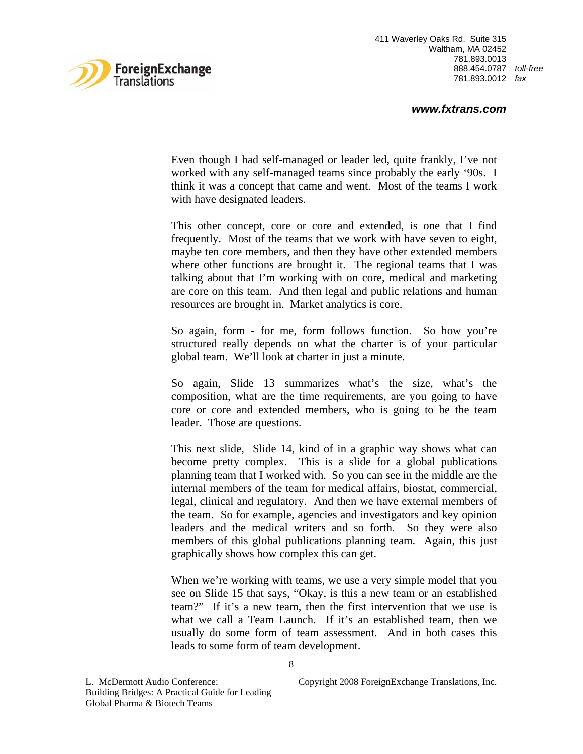

#### *www.fxtrans.com*

Even though I had self-managed or leader led, quite frankly, I've not worked with any self-managed teams since probably the early '90s. I think it was a concept that came and went. Most of the teams I work with have designated leaders.

This other concept, core or core and extended, is one that I find frequently. Most of the teams that we work with have seven to eight, maybe ten core members, and then they have other extended members where other functions are brought it. The regional teams that I was talking about that I'm working with on core, medical and marketing are core on this team. And then legal and public relations and human resources are brought in. Market analytics is core.

So again, form - for me, form follows function. So how you're structured really depends on what the charter is of your particular global team. We'll look at charter in just a minute.

So again, Slide 13 summarizes what's the size, what's the composition, what are the time requirements, are you going to have core or core and extended members, who is going to be the team leader. Those are questions.

This next slide, Slide 14, kind of in a graphic way shows what can become pretty complex. This is a slide for a global publications planning team that I worked with. So you can see in the middle are the internal members of the team for medical affairs, biostat, commercial, legal, clinical and regulatory. And then we have external members of the team. So for example, agencies and investigators and key opinion leaders and the medical writers and so forth. So they were also members of this global publications planning team. Again, this just graphically shows how complex this can get.

When we're working with teams, we use a very simple model that you see on Slide 15 that says, "Okay, is this a new team or an established team?" If it's a new team, then the first intervention that we use is what we call a Team Launch. If it's an established team, then we usually do some form of team assessment. And in both cases this leads to some form of team development.

L. McDermott Audio Conference: Copyright 2008 ForeignExchange Translations, Inc.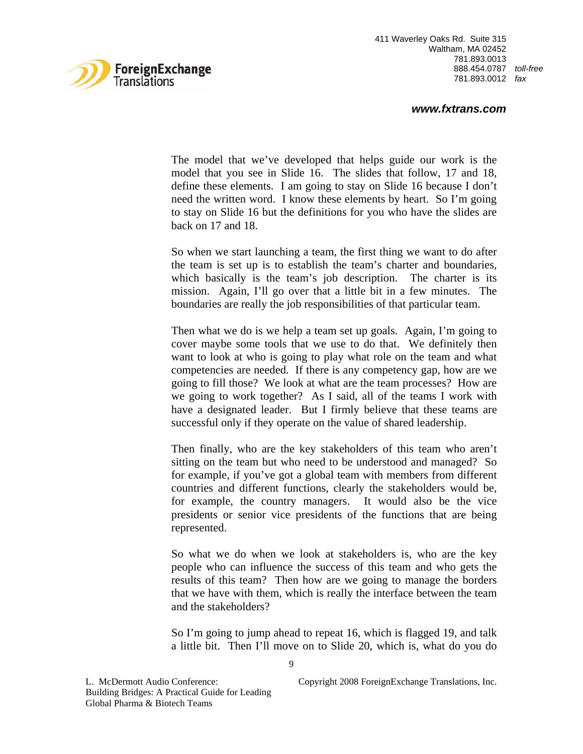

#### *www.fxtrans.com*

The model that we've developed that helps guide our work is the model that you see in Slide 16. The slides that follow, 17 and 18, define these elements. I am going to stay on Slide 16 because I don't need the written word. I know these elements by heart. So I'm going to stay on Slide 16 but the definitions for you who have the slides are back on 17 and 18.

So when we start launching a team, the first thing we want to do after the team is set up is to establish the team's charter and boundaries, which basically is the team's job description. The charter is its mission. Again, I'll go over that a little bit in a few minutes. The boundaries are really the job responsibilities of that particular team.

Then what we do is we help a team set up goals. Again, I'm going to cover maybe some tools that we use to do that. We definitely then want to look at who is going to play what role on the team and what competencies are needed. If there is any competency gap, how are we going to fill those? We look at what are the team processes? How are we going to work together? As I said, all of the teams I work with have a designated leader. But I firmly believe that these teams are successful only if they operate on the value of shared leadership.

Then finally, who are the key stakeholders of this team who aren't sitting on the team but who need to be understood and managed? So for example, if you've got a global team with members from different countries and different functions, clearly the stakeholders would be, for example, the country managers. It would also be the vice presidents or senior vice presidents of the functions that are being represented.

So what we do when we look at stakeholders is, who are the key people who can influence the success of this team and who gets the results of this team? Then how are we going to manage the borders that we have with them, which is really the interface between the team and the stakeholders?

So I'm going to jump ahead to repeat 16, which is flagged 19, and talk a little bit. Then I'll move on to Slide 20, which is, what do you do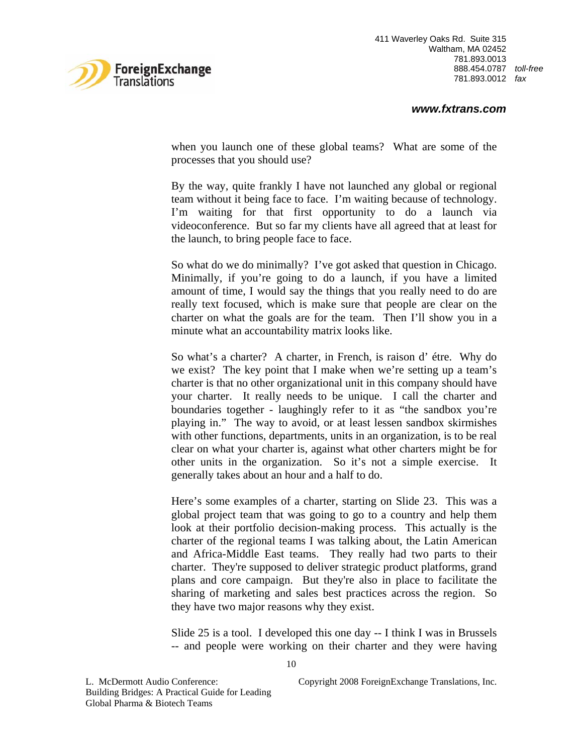

when you launch one of these global teams? What are some of the processes that you should use?

By the way, quite frankly I have not launched any global or regional team without it being face to face. I'm waiting because of technology. I'm waiting for that first opportunity to do a launch via videoconference. But so far my clients have all agreed that at least for the launch, to bring people face to face.

So what do we do minimally? I've got asked that question in Chicago. Minimally, if you're going to do a launch, if you have a limited amount of time, I would say the things that you really need to do are really text focused, which is make sure that people are clear on the charter on what the goals are for the team. Then I'll show you in a minute what an accountability matrix looks like.

So what's a charter? A charter, in French, is raison d' étre. Why do we exist? The key point that I make when we're setting up a team's charter is that no other organizational unit in this company should have your charter. It really needs to be unique. I call the charter and boundaries together - laughingly refer to it as "the sandbox you're playing in." The way to avoid, or at least lessen sandbox skirmishes with other functions, departments, units in an organization, is to be real clear on what your charter is, against what other charters might be for other units in the organization. So it's not a simple exercise. It generally takes about an hour and a half to do.

Here's some examples of a charter, starting on Slide 23. This was a global project team that was going to go to a country and help them look at their portfolio decision-making process. This actually is the charter of the regional teams I was talking about, the Latin American and Africa-Middle East teams. They really had two parts to their charter. They're supposed to deliver strategic product platforms, grand plans and core campaign. But they're also in place to facilitate the sharing of marketing and sales best practices across the region. So they have two major reasons why they exist.

Slide 25 is a tool. I developed this one day -- I think I was in Brussels -- and people were working on their charter and they were having

L. McDermott Audio Conference: Copyright 2008 ForeignExchange Translations, Inc.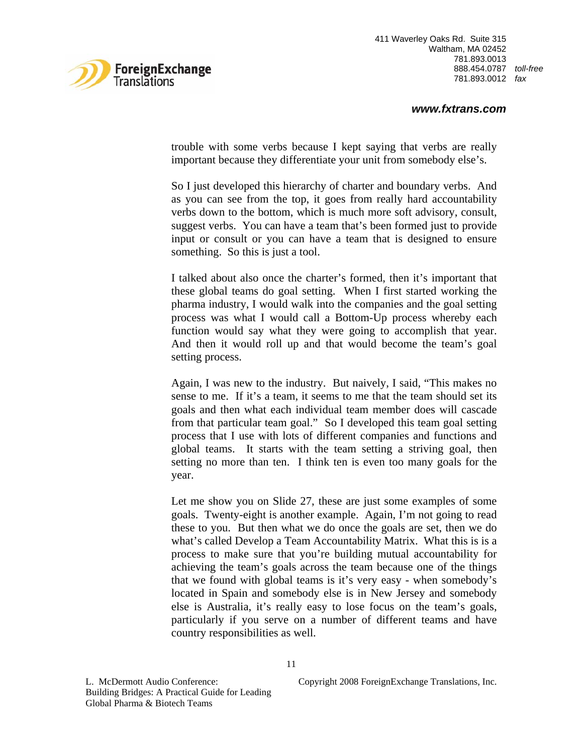

trouble with some verbs because I kept saying that verbs are really important because they differentiate your unit from somebody else's.

So I just developed this hierarchy of charter and boundary verbs. And as you can see from the top, it goes from really hard accountability verbs down to the bottom, which is much more soft advisory, consult, suggest verbs. You can have a team that's been formed just to provide input or consult or you can have a team that is designed to ensure something. So this is just a tool.

I talked about also once the charter's formed, then it's important that these global teams do goal setting. When I first started working the pharma industry, I would walk into the companies and the goal setting process was what I would call a Bottom-Up process whereby each function would say what they were going to accomplish that year. And then it would roll up and that would become the team's goal setting process.

Again, I was new to the industry. But naively, I said, "This makes no sense to me. If it's a team, it seems to me that the team should set its goals and then what each individual team member does will cascade from that particular team goal." So I developed this team goal setting process that I use with lots of different companies and functions and global teams. It starts with the team setting a striving goal, then setting no more than ten. I think ten is even too many goals for the year.

Let me show you on Slide 27, these are just some examples of some goals. Twenty-eight is another example. Again, I'm not going to read these to you. But then what we do once the goals are set, then we do what's called Develop a Team Accountability Matrix. What this is is a process to make sure that you're building mutual accountability for achieving the team's goals across the team because one of the things that we found with global teams is it's very easy - when somebody's located in Spain and somebody else is in New Jersey and somebody else is Australia, it's really easy to lose focus on the team's goals, particularly if you serve on a number of different teams and have country responsibilities as well.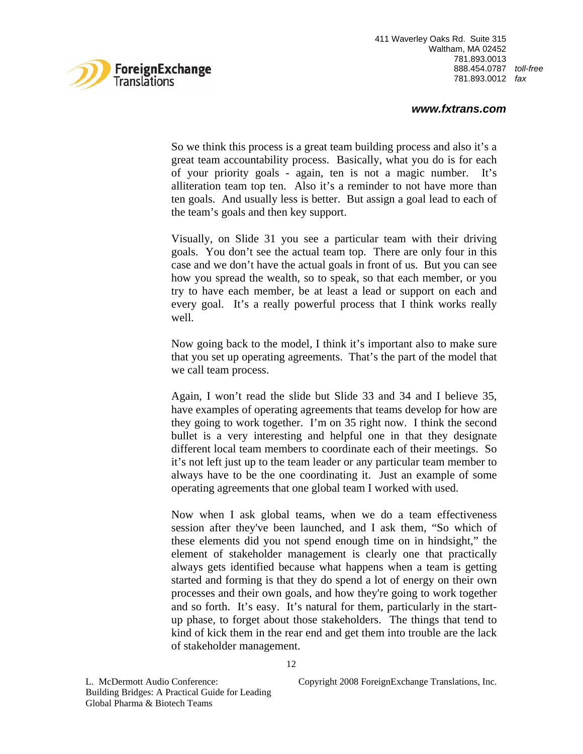

# *www.fxtrans.com*

So we think this process is a great team building process and also it's a great team accountability process. Basically, what you do is for each of your priority goals - again, ten is not a magic number. It's alliteration team top ten. Also it's a reminder to not have more than ten goals. And usually less is better. But assign a goal lead to each of the team's goals and then key support.

Visually, on Slide 31 you see a particular team with their driving goals. You don't see the actual team top. There are only four in this case and we don't have the actual goals in front of us. But you can see how you spread the wealth, so to speak, so that each member, or you try to have each member, be at least a lead or support on each and every goal. It's a really powerful process that I think works really well.

Now going back to the model, I think it's important also to make sure that you set up operating agreements. That's the part of the model that we call team process.

Again, I won't read the slide but Slide 33 and 34 and I believe 35, have examples of operating agreements that teams develop for how are they going to work together. I'm on 35 right now. I think the second bullet is a very interesting and helpful one in that they designate different local team members to coordinate each of their meetings. So it's not left just up to the team leader or any particular team member to always have to be the one coordinating it. Just an example of some operating agreements that one global team I worked with used.

Now when I ask global teams, when we do a team effectiveness session after they've been launched, and I ask them, "So which of these elements did you not spend enough time on in hindsight," the element of stakeholder management is clearly one that practically always gets identified because what happens when a team is getting started and forming is that they do spend a lot of energy on their own processes and their own goals, and how they're going to work together and so forth. It's easy. It's natural for them, particularly in the startup phase, to forget about those stakeholders. The things that tend to kind of kick them in the rear end and get them into trouble are the lack of stakeholder management.

L. McDermott Audio Conference: Copyright 2008 ForeignExchange Translations, Inc.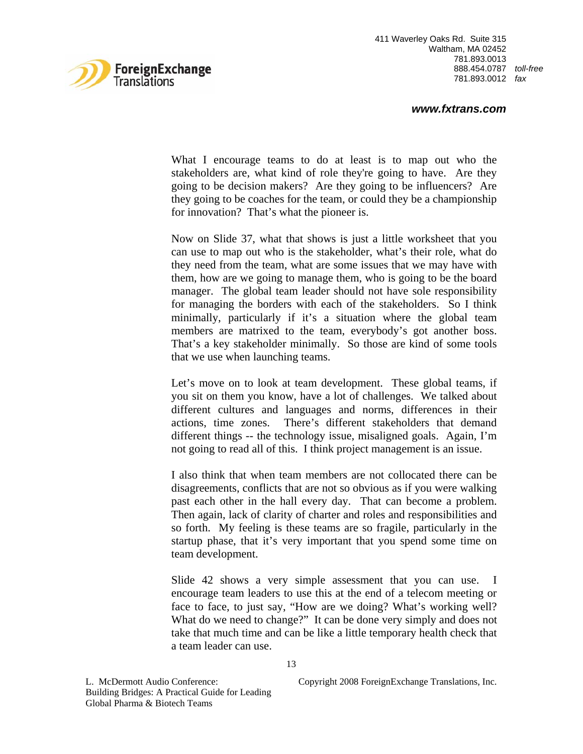

#### *www.fxtrans.com*

What I encourage teams to do at least is to map out who the stakeholders are, what kind of role they're going to have. Are they going to be decision makers? Are they going to be influencers? Are they going to be coaches for the team, or could they be a championship for innovation? That's what the pioneer is.

Now on Slide 37, what that shows is just a little worksheet that you can use to map out who is the stakeholder, what's their role, what do they need from the team, what are some issues that we may have with them, how are we going to manage them, who is going to be the board manager. The global team leader should not have sole responsibility for managing the borders with each of the stakeholders. So I think minimally, particularly if it's a situation where the global team members are matrixed to the team, everybody's got another boss. That's a key stakeholder minimally. So those are kind of some tools that we use when launching teams.

Let's move on to look at team development. These global teams, if you sit on them you know, have a lot of challenges. We talked about different cultures and languages and norms, differences in their actions, time zones. There's different stakeholders that demand different things -- the technology issue, misaligned goals. Again, I'm not going to read all of this. I think project management is an issue.

I also think that when team members are not collocated there can be disagreements, conflicts that are not so obvious as if you were walking past each other in the hall every day. That can become a problem. Then again, lack of clarity of charter and roles and responsibilities and so forth. My feeling is these teams are so fragile, particularly in the startup phase, that it's very important that you spend some time on team development.

Slide 42 shows a very simple assessment that you can use. I encourage team leaders to use this at the end of a telecom meeting or face to face, to just say, "How are we doing? What's working well? What do we need to change?" It can be done very simply and does not take that much time and can be like a little temporary health check that a team leader can use.

L. McDermott Audio Conference: Copyright 2008 ForeignExchange Translations, Inc.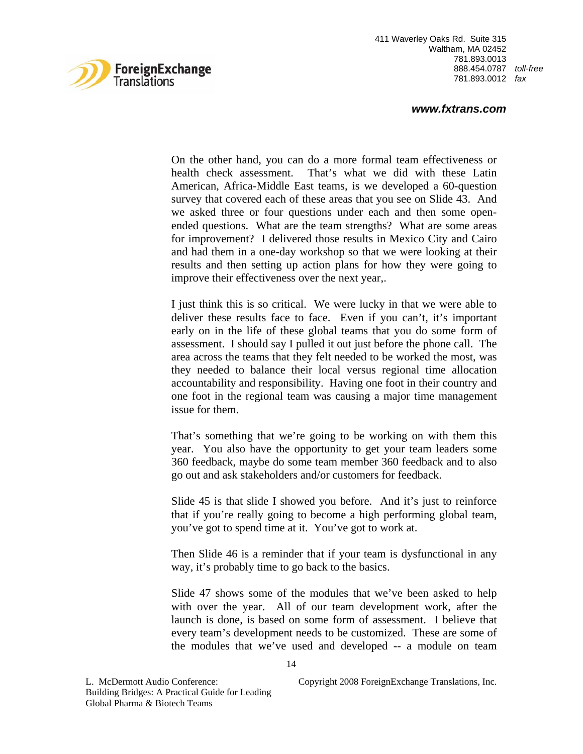

#### *www.fxtrans.com*

On the other hand, you can do a more formal team effectiveness or health check assessment. That's what we did with these Latin American, Africa-Middle East teams, is we developed a 60-question survey that covered each of these areas that you see on Slide 43. And we asked three or four questions under each and then some openended questions. What are the team strengths? What are some areas for improvement? I delivered those results in Mexico City and Cairo and had them in a one-day workshop so that we were looking at their results and then setting up action plans for how they were going to improve their effectiveness over the next year,.

I just think this is so critical. We were lucky in that we were able to deliver these results face to face. Even if you can't, it's important early on in the life of these global teams that you do some form of assessment. I should say I pulled it out just before the phone call. The area across the teams that they felt needed to be worked the most, was they needed to balance their local versus regional time allocation accountability and responsibility. Having one foot in their country and one foot in the regional team was causing a major time management issue for them.

That's something that we're going to be working on with them this year. You also have the opportunity to get your team leaders some 360 feedback, maybe do some team member 360 feedback and to also go out and ask stakeholders and/or customers for feedback.

Slide 45 is that slide I showed you before. And it's just to reinforce that if you're really going to become a high performing global team, you've got to spend time at it. You've got to work at.

Then Slide 46 is a reminder that if your team is dysfunctional in any way, it's probably time to go back to the basics.

Slide 47 shows some of the modules that we've been asked to help with over the year. All of our team development work, after the launch is done, is based on some form of assessment. I believe that every team's development needs to be customized. These are some of the modules that we've used and developed -- a module on team

L. McDermott Audio Conference: Copyright 2008 ForeignExchange Translations, Inc.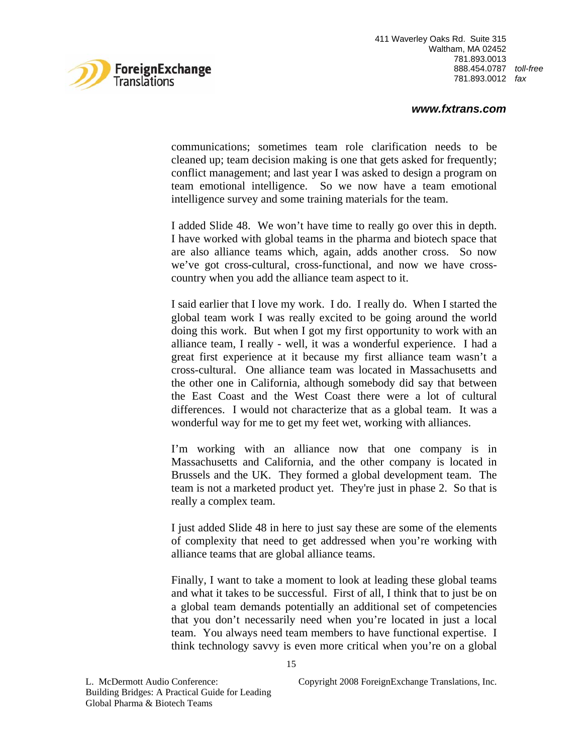

# *www.fxtrans.com*

communications; sometimes team role clarification needs to be cleaned up; team decision making is one that gets asked for frequently; conflict management; and last year I was asked to design a program on team emotional intelligence. So we now have a team emotional intelligence survey and some training materials for the team.

I added Slide 48. We won't have time to really go over this in depth. I have worked with global teams in the pharma and biotech space that are also alliance teams which, again, adds another cross. So now we've got cross-cultural, cross-functional, and now we have crosscountry when you add the alliance team aspect to it.

I said earlier that I love my work. I do. I really do. When I started the global team work I was really excited to be going around the world doing this work. But when I got my first opportunity to work with an alliance team, I really - well, it was a wonderful experience. I had a great first experience at it because my first alliance team wasn't a cross-cultural. One alliance team was located in Massachusetts and the other one in California, although somebody did say that between the East Coast and the West Coast there were a lot of cultural differences. I would not characterize that as a global team. It was a wonderful way for me to get my feet wet, working with alliances.

I'm working with an alliance now that one company is in Massachusetts and California, and the other company is located in Brussels and the UK. They formed a global development team. The team is not a marketed product yet. They're just in phase 2. So that is really a complex team.

I just added Slide 48 in here to just say these are some of the elements of complexity that need to get addressed when you're working with alliance teams that are global alliance teams.

Finally, I want to take a moment to look at leading these global teams and what it takes to be successful. First of all, I think that to just be on a global team demands potentially an additional set of competencies that you don't necessarily need when you're located in just a local team. You always need team members to have functional expertise. I think technology savvy is even more critical when you're on a global

L. McDermott Audio Conference: Copyright 2008 ForeignExchange Translations, Inc.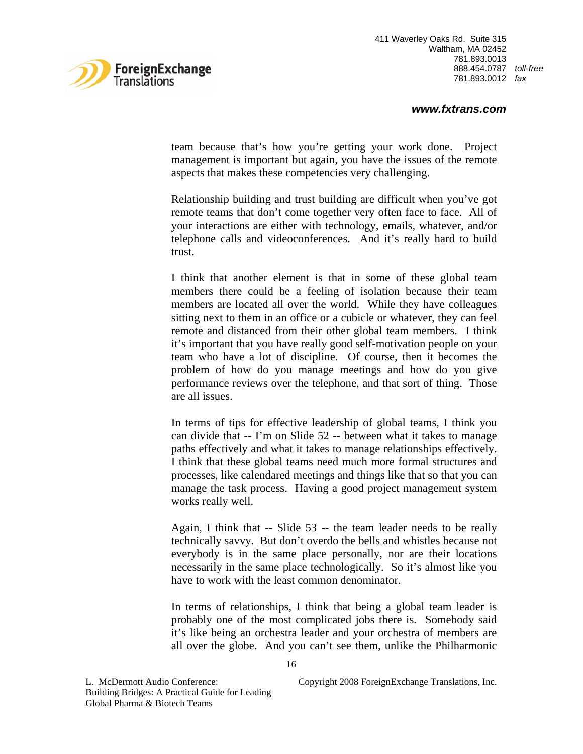

#### *www.fxtrans.com*

team because that's how you're getting your work done. Project management is important but again, you have the issues of the remote aspects that makes these competencies very challenging.

Relationship building and trust building are difficult when you've got remote teams that don't come together very often face to face. All of your interactions are either with technology, emails, whatever, and/or telephone calls and videoconferences. And it's really hard to build trust.

I think that another element is that in some of these global team members there could be a feeling of isolation because their team members are located all over the world. While they have colleagues sitting next to them in an office or a cubicle or whatever, they can feel remote and distanced from their other global team members. I think it's important that you have really good self-motivation people on your team who have a lot of discipline. Of course, then it becomes the problem of how do you manage meetings and how do you give performance reviews over the telephone, and that sort of thing. Those are all issues.

In terms of tips for effective leadership of global teams, I think you can divide that -- I'm on Slide 52 -- between what it takes to manage paths effectively and what it takes to manage relationships effectively. I think that these global teams need much more formal structures and processes, like calendared meetings and things like that so that you can manage the task process. Having a good project management system works really well.

Again, I think that -- Slide 53 -- the team leader needs to be really technically savvy. But don't overdo the bells and whistles because not everybody is in the same place personally, nor are their locations necessarily in the same place technologically. So it's almost like you have to work with the least common denominator.

In terms of relationships, I think that being a global team leader is probably one of the most complicated jobs there is. Somebody said it's like being an orchestra leader and your orchestra of members are all over the globe. And you can't see them, unlike the Philharmonic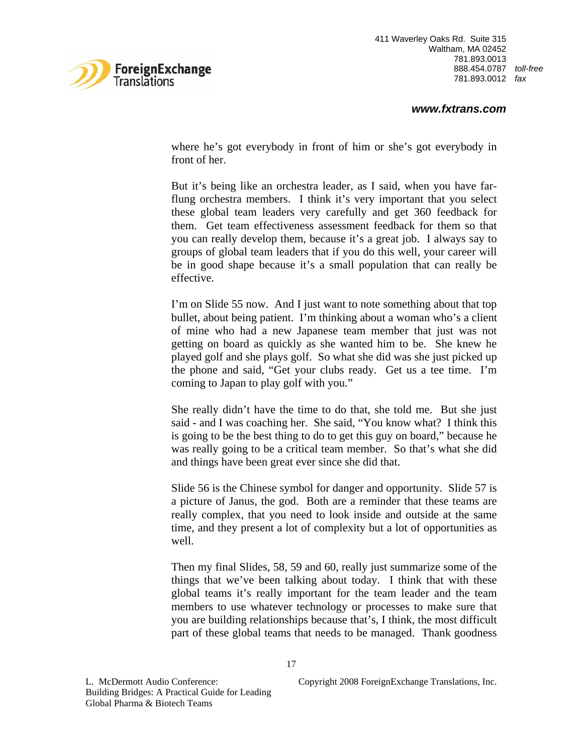

where he's got everybody in front of him or she's got everybody in front of her.

But it's being like an orchestra leader, as I said, when you have farflung orchestra members. I think it's very important that you select these global team leaders very carefully and get 360 feedback for them. Get team effectiveness assessment feedback for them so that you can really develop them, because it's a great job. I always say to groups of global team leaders that if you do this well, your career will be in good shape because it's a small population that can really be effective.

I'm on Slide 55 now. And I just want to note something about that top bullet, about being patient. I'm thinking about a woman who's a client of mine who had a new Japanese team member that just was not getting on board as quickly as she wanted him to be. She knew he played golf and she plays golf. So what she did was she just picked up the phone and said, "Get your clubs ready. Get us a tee time. I'm coming to Japan to play golf with you."

She really didn't have the time to do that, she told me. But she just said - and I was coaching her. She said, "You know what? I think this is going to be the best thing to do to get this guy on board," because he was really going to be a critical team member. So that's what she did and things have been great ever since she did that.

Slide 56 is the Chinese symbol for danger and opportunity. Slide 57 is a picture of Janus, the god. Both are a reminder that these teams are really complex, that you need to look inside and outside at the same time, and they present a lot of complexity but a lot of opportunities as well.

Then my final Slides, 58, 59 and 60, really just summarize some of the things that we've been talking about today. I think that with these global teams it's really important for the team leader and the team members to use whatever technology or processes to make sure that you are building relationships because that's, I think, the most difficult part of these global teams that needs to be managed. Thank goodness

Building Bridges: A Practical Guide for Leading Global Pharma & Biotech Teams

L. McDermott Audio Conference: Copyright 2008 ForeignExchange Translations, Inc.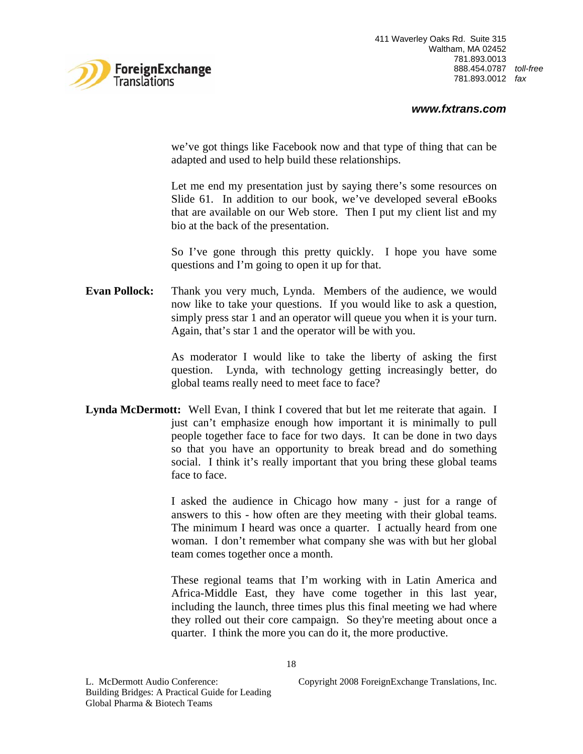

#### *www.fxtrans.com*

we've got things like Facebook now and that type of thing that can be adapted and used to help build these relationships.

Let me end my presentation just by saying there's some resources on Slide 61. In addition to our book, we've developed several eBooks that are available on our Web store. Then I put my client list and my bio at the back of the presentation.

So I've gone through this pretty quickly. I hope you have some questions and I'm going to open it up for that.

**Evan Pollock:** Thank you very much, Lynda. Members of the audience, we would now like to take your questions. If you would like to ask a question, simply press star 1 and an operator will queue you when it is your turn. Again, that's star 1 and the operator will be with you.

> As moderator I would like to take the liberty of asking the first question. Lynda, with technology getting increasingly better, do global teams really need to meet face to face?

**Lynda McDermott:** Well Evan, I think I covered that but let me reiterate that again. I just can't emphasize enough how important it is minimally to pull people together face to face for two days. It can be done in two days so that you have an opportunity to break bread and do something social. I think it's really important that you bring these global teams face to face.

> I asked the audience in Chicago how many - just for a range of answers to this - how often are they meeting with their global teams. The minimum I heard was once a quarter. I actually heard from one woman. I don't remember what company she was with but her global team comes together once a month.

> These regional teams that I'm working with in Latin America and Africa-Middle East, they have come together in this last year, including the launch, three times plus this final meeting we had where they rolled out their core campaign. So they're meeting about once a quarter. I think the more you can do it, the more productive.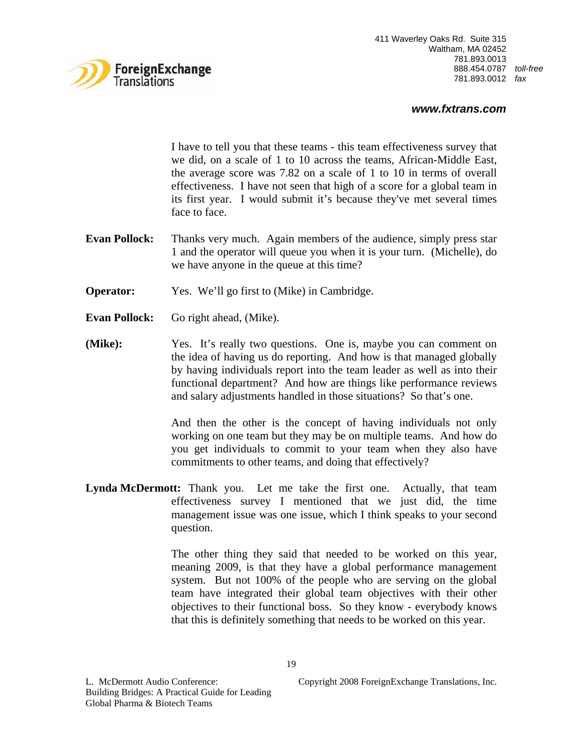

# *www.fxtrans.com*

I have to tell you that these teams - this team effectiveness survey that we did, on a scale of 1 to 10 across the teams, African-Middle East, the average score was 7.82 on a scale of 1 to 10 in terms of overall effectiveness. I have not seen that high of a score for a global team in its first year. I would submit it's because they've met several times face to face.

- **Evan Pollock:** Thanks very much. Again members of the audience, simply press star 1 and the operator will queue you when it is your turn. (Michelle), do we have anyone in the queue at this time?
- **Operator:** Yes. We'll go first to (Mike) in Cambridge.
- **Evan Pollock:** Go right ahead, (Mike).
- **(Mike):** Yes. It's really two questions. One is, maybe you can comment on the idea of having us do reporting. And how is that managed globally by having individuals report into the team leader as well as into their functional department? And how are things like performance reviews and salary adjustments handled in those situations? So that's one.

And then the other is the concept of having individuals not only working on one team but they may be on multiple teams. And how do you get individuals to commit to your team when they also have commitments to other teams, and doing that effectively?

**Lynda McDermott:** Thank you. Let me take the first one. Actually, that team effectiveness survey I mentioned that we just did, the time management issue was one issue, which I think speaks to your second question.

> The other thing they said that needed to be worked on this year, meaning 2009, is that they have a global performance management system. But not 100% of the people who are serving on the global team have integrated their global team objectives with their other objectives to their functional boss. So they know - everybody knows that this is definitely something that needs to be worked on this year.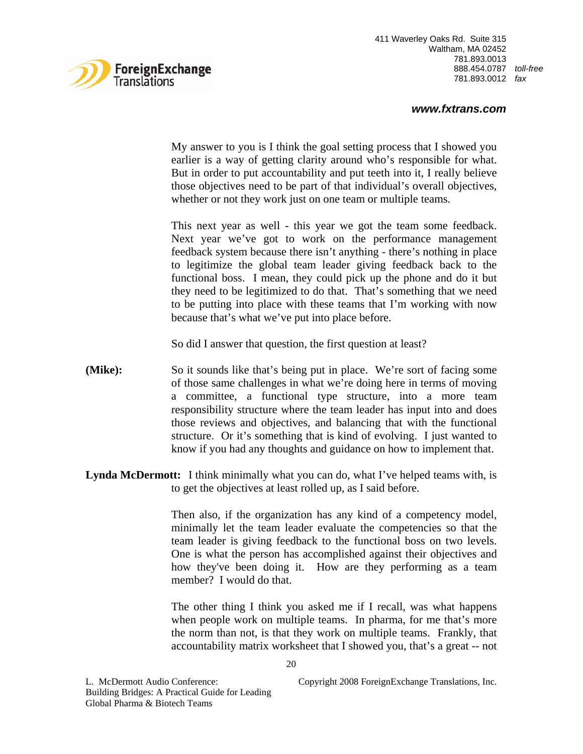

# *www.fxtrans.com*

My answer to you is I think the goal setting process that I showed you earlier is a way of getting clarity around who's responsible for what. But in order to put accountability and put teeth into it, I really believe those objectives need to be part of that individual's overall objectives, whether or not they work just on one team or multiple teams.

This next year as well - this year we got the team some feedback. Next year we've got to work on the performance management feedback system because there isn't anything - there's nothing in place to legitimize the global team leader giving feedback back to the functional boss. I mean, they could pick up the phone and do it but they need to be legitimized to do that. That's something that we need to be putting into place with these teams that I'm working with now because that's what we've put into place before.

So did I answer that question, the first question at least?

- **(Mike):** So it sounds like that's being put in place. We're sort of facing some of those same challenges in what we're doing here in terms of moving a committee, a functional type structure, into a more team responsibility structure where the team leader has input into and does those reviews and objectives, and balancing that with the functional structure. Or it's something that is kind of evolving. I just wanted to know if you had any thoughts and guidance on how to implement that.
- **Lynda McDermott:** I think minimally what you can do, what I've helped teams with, is to get the objectives at least rolled up, as I said before.

Then also, if the organization has any kind of a competency model, minimally let the team leader evaluate the competencies so that the team leader is giving feedback to the functional boss on two levels. One is what the person has accomplished against their objectives and how they've been doing it. How are they performing as a team member? I would do that.

The other thing I think you asked me if I recall, was what happens when people work on multiple teams. In pharma, for me that's more the norm than not, is that they work on multiple teams. Frankly, that accountability matrix worksheet that I showed you, that's a great -- not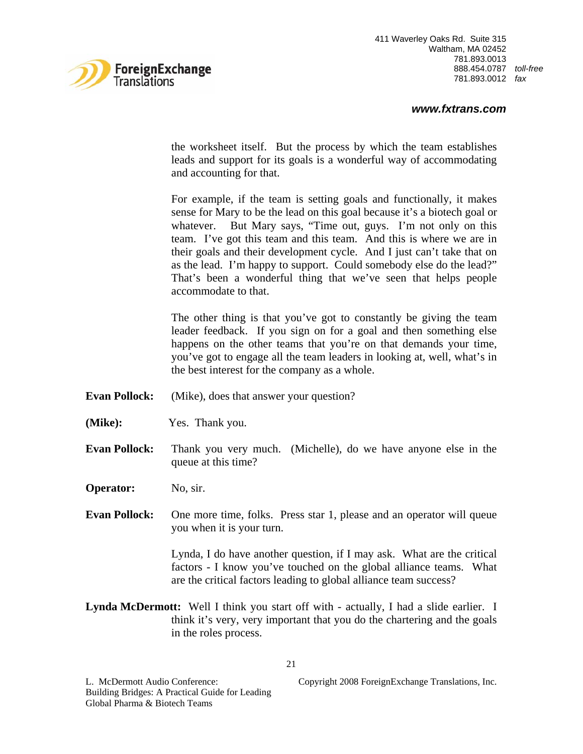

the worksheet itself. But the process by which the team establishes leads and support for its goals is a wonderful way of accommodating and accounting for that.

For example, if the team is setting goals and functionally, it makes sense for Mary to be the lead on this goal because it's a biotech goal or whatever. But Mary says, "Time out, guys. I'm not only on this team. I've got this team and this team. And this is where we are in their goals and their development cycle. And I just can't take that on as the lead. I'm happy to support. Could somebody else do the lead?" That's been a wonderful thing that we've seen that helps people accommodate to that.

The other thing is that you've got to constantly be giving the team leader feedback. If you sign on for a goal and then something else happens on the other teams that you're on that demands your time, you've got to engage all the team leaders in looking at, well, what's in the best interest for the company as a whole.

- **Evan Pollock:** (Mike), does that answer your question?
- **(Mike):** Yes. Thank you.
- **Evan Pollock:** Thank you very much. (Michelle), do we have anyone else in the queue at this time?
- **Operator:** No, sir.
- **Evan Pollock:** One more time, folks. Press star 1, please and an operator will queue you when it is your turn.

Lynda, I do have another question, if I may ask. What are the critical factors - I know you've touched on the global alliance teams. What are the critical factors leading to global alliance team success?

**Lynda McDermott:** Well I think you start off with - actually, I had a slide earlier. I think it's very, very important that you do the chartering and the goals in the roles process.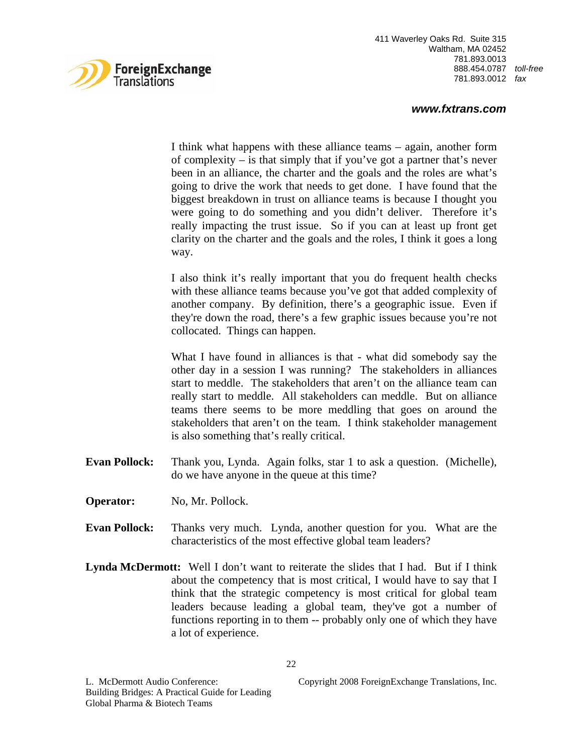

# *www.fxtrans.com*

I think what happens with these alliance teams – again, another form of complexity – is that simply that if you've got a partner that's never been in an alliance, the charter and the goals and the roles are what's going to drive the work that needs to get done. I have found that the biggest breakdown in trust on alliance teams is because I thought you were going to do something and you didn't deliver. Therefore it's really impacting the trust issue. So if you can at least up front get clarity on the charter and the goals and the roles, I think it goes a long way.

I also think it's really important that you do frequent health checks with these alliance teams because you've got that added complexity of another company. By definition, there's a geographic issue. Even if they're down the road, there's a few graphic issues because you're not collocated. Things can happen.

What I have found in alliances is that - what did somebody say the other day in a session I was running? The stakeholders in alliances start to meddle. The stakeholders that aren't on the alliance team can really start to meddle. All stakeholders can meddle. But on alliance teams there seems to be more meddling that goes on around the stakeholders that aren't on the team. I think stakeholder management is also something that's really critical.

- **Evan Pollock:** Thank you, Lynda. Again folks, star 1 to ask a question. (Michelle), do we have anyone in the queue at this time?
- **Operator:** No, Mr. Pollock.
- **Evan Pollock:** Thanks very much. Lynda, another question for you. What are the characteristics of the most effective global team leaders?
- **Lynda McDermott:** Well I don't want to reiterate the slides that I had. But if I think about the competency that is most critical, I would have to say that I think that the strategic competency is most critical for global team leaders because leading a global team, they've got a number of functions reporting in to them -- probably only one of which they have a lot of experience.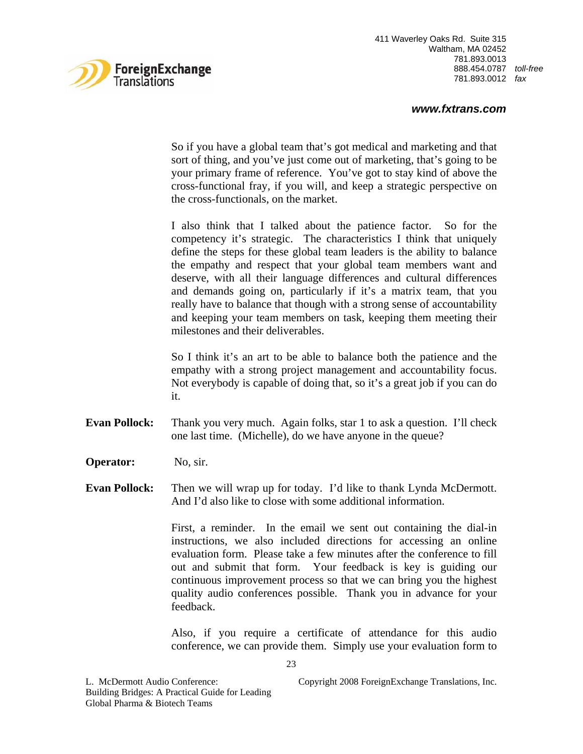

# *www.fxtrans.com*

So if you have a global team that's got medical and marketing and that sort of thing, and you've just come out of marketing, that's going to be your primary frame of reference. You've got to stay kind of above the cross-functional fray, if you will, and keep a strategic perspective on the cross-functionals, on the market.

I also think that I talked about the patience factor. So for the competency it's strategic. The characteristics I think that uniquely define the steps for these global team leaders is the ability to balance the empathy and respect that your global team members want and deserve, with all their language differences and cultural differences and demands going on, particularly if it's a matrix team, that you really have to balance that though with a strong sense of accountability and keeping your team members on task, keeping them meeting their milestones and their deliverables.

So I think it's an art to be able to balance both the patience and the empathy with a strong project management and accountability focus. Not everybody is capable of doing that, so it's a great job if you can do it.

- **Evan Pollock:** Thank you very much. Again folks, star 1 to ask a question. I'll check one last time. (Michelle), do we have anyone in the queue?
- **Operator:** No, sir.
- **Evan Pollock:** Then we will wrap up for today. I'd like to thank Lynda McDermott. And I'd also like to close with some additional information.

First, a reminder. In the email we sent out containing the dial-in instructions, we also included directions for accessing an online evaluation form. Please take a few minutes after the conference to fill out and submit that form. Your feedback is key is guiding our continuous improvement process so that we can bring you the highest quality audio conferences possible. Thank you in advance for your feedback.

Also, if you require a certificate of attendance for this audio conference, we can provide them. Simply use your evaluation form to